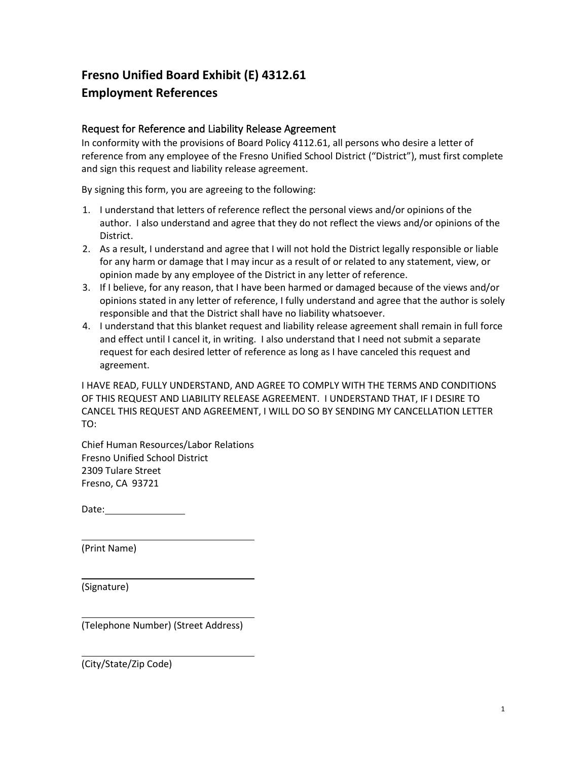## **Fresno Unified Board Exhibit (E) 4312.61 Employment References**

## Request for Reference and Liability Release Agreement

In conformity with the provisions of Board Policy 4112.61, all persons who desire a letter of reference from any employee of the Fresno Unified School District ("District"), must first complete and sign this request and liability release agreement.

By signing this form, you are agreeing to the following:

- 1. I understand that letters of reference reflect the personal views and/or opinions of the author. I also understand and agree that they do not reflect the views and/or opinions of the District.
- 2. As a result, I understand and agree that I will not hold the District legally responsible or liable for any harm or damage that I may incur as a result of or related to any statement, view, or opinion made by any employee of the District in any letter of reference.
- 3. If I believe, for any reason, that I have been harmed or damaged because of the views and/or opinions stated in any letter of reference, I fully understand and agree that the author is solely responsible and that the District shall have no liability whatsoever.
- 4. I understand that this blanket request and liability release agreement shall remain in full force and effect until I cancel it, in writing. I also understand that I need not submit a separate request for each desired letter of reference as long as I have canceled this request and agreement.

I HAVE READ, FULLY UNDERSTAND, AND AGREE TO COMPLY WITH THE TERMS AND CONDITIONS OF THIS REQUEST AND LIABILITY RELEASE AGREEMENT. I UNDERSTAND THAT, IF I DESIRE TO CANCEL THIS REQUEST AND AGREEMENT, I WILL DO SO BY SENDING MY CANCELLATION LETTER TO:

Chief Human Resources/Labor Relations Fresno Unified School District 2309 Tulare Street Fresno, CA 93721

Date:

(Print Name)

(Signature)

(Telephone Number) (Street Address)

(City/State/Zip Code)